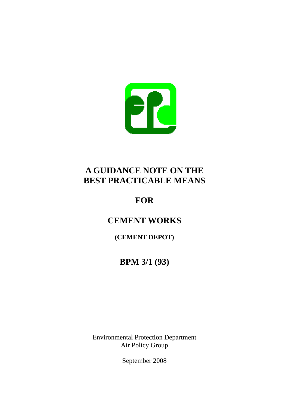

## **A GUIDANCE NOTE ON THE BEST PRACTICABLE MEANS**

## **FOR**

# **CEMENT WORKS**

### **(CEMENT DEPOT)**

## **BPM 3/1 (93)**

Environmental Protection Department Air Policy Group

September 2008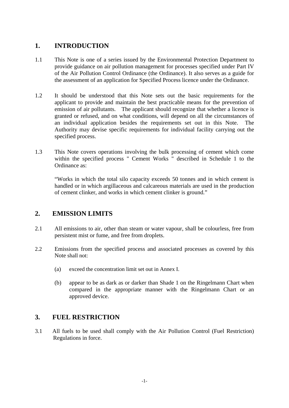### **1. INTRODUCTION**

- 1.1 This Note is one of a series issued by the Environmental Protection Department to provide guidance on air pollution management for processes specified under Part IV of the Air Pollution Control Ordinance (the Ordinance). It also serves as a guide for the assessment of an application for Specified Process licence under the Ordinance.
- 1.2 It should be understood that this Note sets out the basic requirements for the applicant to provide and maintain the best practicable means for the prevention of emission of air pollutants. The applicant should recognize that whether a licence is granted or refused, and on what conditions, will depend on all the circumstances of an individual application besides the requirements set out in this Note. The Authority may devise specific requirements for individual facility carrying out the specified process.
- 1.3 This Note covers operations involving the bulk processing of cement which come within the specified process " Cement Works " described in Schedule 1 to the Ordinance as:

"Works in which the total silo capacity exceeds 50 tonnes and in which cement is handled or in which argillaceous and calcareous materials are used in the production of cement clinker, and works in which cement clinker is ground."

### **2. EMISSION LIMITS**

- 2.1 All emissions to air, other than steam or water vapour, shall be colourless, free from persistent mist or fume, and free from droplets.
- 2.2 Emissions from the specified process and associated processes as covered by this Note shall not:
	- (a) exceed the concentration limit set out in Annex I.
	- (b) appear to be as dark as or darker than Shade 1 on the Ringelmann Chart when compared in the appropriate manner with the Ringelmann Chart or an approved device.

### **3. FUEL RESTRICTION**

3.1 All fuels to be used shall comply with the Air Pollution Control (Fuel Restriction) Regulations in force.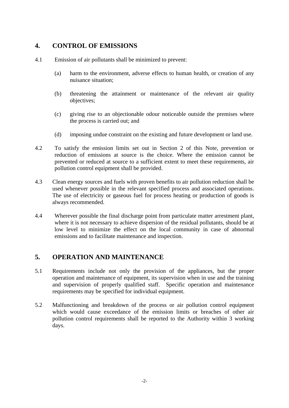### **4. CONTROL OF EMISSIONS**

- 4.1 Emission of air pollutants shall be minimized to prevent:
	- (a) harm to the environment, adverse effects to human health, or creation of any nuisance situation;
	- (b) threatening the attainment or maintenance of the relevant air quality objectives;
	- (c) giving rise to an objectionable odour noticeable outside the premises where the process is carried out; and
	- (d) imposing undue constraint on the existing and future development or land use.
- 4.2 To satisfy the emission limits set out in Section 2 of this Note, prevention or reduction of emissions at source is the choice. Where the emission cannot be prevented or reduced at source to a sufficient extent to meet these requirements, air pollution control equipment shall be provided.
- 4.3 Clean energy sources and fuels with proven benefits to air pollution reduction shall be used whenever possible in the relevant specified process and associated operations. The use of electricity or gaseous fuel for process heating or production of goods is always recommended.
- 4.4 Wherever possible the final discharge point from particulate matter arrestment plant, where it is not necessary to achieve dispersion of the residual pollutants, should be at low level to minimize the effect on the local community in case of abnormal emissions and to facilitate maintenance and inspection.

### **5. OPERATION AND MAINTENANCE**

- 5.1 Requirements include not only the provision of the appliances, but the proper operation and maintenance of equipment, its supervision when in use and the training and supervision of properly qualified staff. Specific operation and maintenance requirements may be specified for individual equipment.
- 5.2 Malfunctioning and breakdown of the process or air pollution control equipment which would cause exceedance of the emission limits or breaches of other air pollution control requirements shall be reported to the Authority within 3 working days.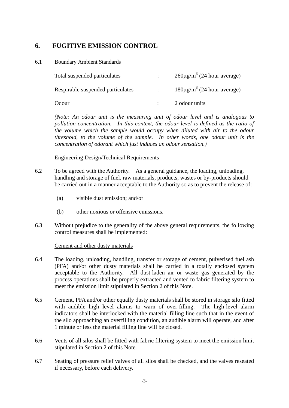### **6. FUGITIVE EMISSION CONTROL**

#### 6.1 Boundary Ambient Standards

| Total suspended particulates      |                | $260\mu\text{g/m}^3$ (24 hour average) |
|-----------------------------------|----------------|----------------------------------------|
| Respirable suspended particulates | $\mathbb{R}^n$ | $180\mu\text{g/m}^3$ (24 hour average) |
| Odour                             |                | 2 odour units                          |

pollution concentration. In this context, the odour level is defined as the ratio of *(Note: An odour unit is the measuring unit of odour level and is analogous to the volume which the sample would occupy when diluted with air to the odour threshold, to the volume of the sample. In other words, one odour unit is the concentration of odorant which just induces an odour sensation.)* 

#### Engineering Design/Technical Requirements

- 6.2 To be agreed with the Authority. As a general guidance, the loading, unloading, handling and storage of fuel, raw materials, products, wastes or by-products should be carried out in a manner acceptable to the Authority so as to prevent the release of:
	- (a) visible dust emission; and/or
	- (b) other noxious or offensive emissions.
- 6.3 Without prejudice to the generality of the above general requirements, the following control measures shall be implemented:

#### Cement and other dusty materials

- 6.4 The loading, unloading, handling, transfer or storage of cement, pulverised fuel ash (PFA) and/or other dusty materials shall be carried in a totally enclosed system acceptable to the Authority. All dust-laden air or waste gas generated by the process operations shall be properly extracted and vented to fabric filtering system to meet the emission limit stipulated in Section 2 of this Note.
- 6.5 Cement, PFA and/or other equally dusty materials shall be stored in storage silo fitted with audible high level alarms to warn of over-filling. The high-level alarm indicators shall be interlocked with the material filling line such that in the event of the silo approaching an overfilling condition, an audible alarm will operate, and after 1 minute or less the material filling line will be closed.
- 6.6 Vents of all silos shall be fitted with fabric filtering system to meet the emission limit stipulated in Section 2 of this Note.
- 6.7 Seating of pressure relief valves of all silos shall be checked, and the valves reseated if necessary, before each delivery.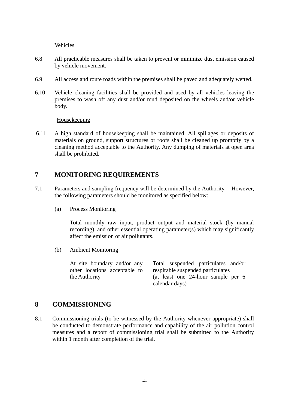Vehicles

- 6.8 All practicable measures shall be taken to prevent or minimize dust emission caused by vehicle movement.
- 6.9 All access and route roads within the premises shall be paved and adequately wetted.
- 6.10 Vehicle cleaning facilities shall be provided and used by all vehicles leaving the premises to wash off any dust and/or mud deposited on the wheels and/or vehicle body.

Housekeeping

6.11 A high standard of housekeeping shall be maintained. All spillages or deposits of materials on ground, support structures or roofs shall be cleaned up promptly by a cleaning method acceptable to the Authority. Any dumping of materials at open area shall be prohibited.

#### **7 MONITORING REQUIREMENTS**

- 7.1 Parameters and sampling frequency will be determined by the Authority. However, the following parameters should be monitored as specified below:
	- (a) Process Monitoring

Total monthly raw input, product output and material stock (by manual recording), and other essential operating parameter(s) which may significantly affect the emission of air pollutants.

(b) Ambient Monitoring

At site boundary and/or any other locations acceptable to the Authority Total suspended particulates and/or respirable suspended particulates (at least one 24-hour sample per 6 calendar days)

### **8 COMMISSIONING**

8.1 Commissioning trials (to be witnessed by the Authority whenever appropriate) shall be conducted to demonstrate performance and capability of the air pollution control measures and a report of commissioning trial shall be submitted to the Authority within 1 month after completion of the trial.